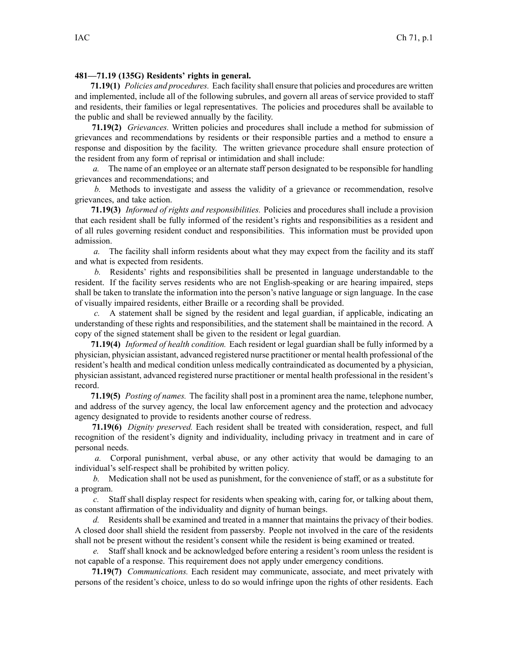## **481—71.19 (135G) Residents' rights in general.**

**71.19(1)** *Policies and procedures.* Each facility shall ensure that policies and procedures are written and implemented, include all of the following subrules, and govern all areas of service provided to staff and residents, their families or legal representatives. The policies and procedures shall be available to the public and shall be reviewed annually by the facility.

**71.19(2)** *Grievances.* Written policies and procedures shall include <sup>a</sup> method for submission of grievances and recommendations by residents or their responsible parties and <sup>a</sup> method to ensure <sup>a</sup> response and disposition by the facility. The written grievance procedure shall ensure protection of the resident from any form of reprisal or intimidation and shall include:

*a.* The name of an employee or an alternate staff person designated to be responsible for handling grievances and recommendations; and

*b.* Methods to investigate and assess the validity of <sup>a</sup> grievance or recommendation, resolve grievances, and take action.

**71.19(3)** *Informed of rights and responsibilities.* Policies and procedures shall include <sup>a</sup> provision that each resident shall be fully informed of the resident's rights and responsibilities as <sup>a</sup> resident and of all rules governing resident conduct and responsibilities. This information must be provided upon admission.

*a.* The facility shall inform residents about what they may expec<sup>t</sup> from the facility and its staff and what is expected from residents.

*b.* Residents' rights and responsibilities shall be presented in language understandable to the resident. If the facility serves residents who are not English-speaking or are hearing impaired, steps shall be taken to translate the information into the person's native language or sign language. In the case of visually impaired residents, either Braille or <sup>a</sup> recording shall be provided.

*c.* A statement shall be signed by the resident and legal guardian, if applicable, indicating an understanding of these rights and responsibilities, and the statement shall be maintained in the record. A copy of the signed statement shall be given to the resident or legal guardian.

**71.19(4)** *Informed of health condition.* Each resident or legal guardian shall be fully informed by <sup>a</sup> physician, physician assistant, advanced registered nurse practitioner or mental health professional of the resident's health and medical condition unless medically contraindicated as documented by <sup>a</sup> physician, physician assistant, advanced registered nurse practitioner or mental health professional in the resident's record.

**71.19(5)** *Posting of names.* The facility shall pos<sup>t</sup> in <sup>a</sup> prominent area the name, telephone number, and address of the survey agency, the local law enforcement agency and the protection and advocacy agency designated to provide to residents another course of redress.

**71.19(6)** *Dignity preserved.* Each resident shall be treated with consideration, respect, and full recognition of the resident's dignity and individuality, including privacy in treatment and in care of personal needs.

*a.* Corporal punishment, verbal abuse, or any other activity that would be damaging to an individual's self-respect shall be prohibited by written policy.

*b.* Medication shall not be used as punishment, for the convenience of staff, or as <sup>a</sup> substitute for <sup>a</sup> program.

*c.* Staff shall display respec<sup>t</sup> for residents when speaking with, caring for, or talking about them, as constant affirmation of the individuality and dignity of human beings.

*d.* Residents shall be examined and treated in <sup>a</sup> manner that maintains the privacy of their bodies. A closed door shall shield the resident from passersby. People not involved in the care of the residents shall not be presen<sup>t</sup> without the resident's consent while the resident is being examined or treated.

*e.* Staff shall knock and be acknowledged before entering <sup>a</sup> resident's room unless the resident is not capable of <sup>a</sup> response. This requirement does not apply under emergency conditions.

**71.19(7)** *Communications.* Each resident may communicate, associate, and meet privately with persons of the resident's choice, unless to do so would infringe upon the rights of other residents. Each